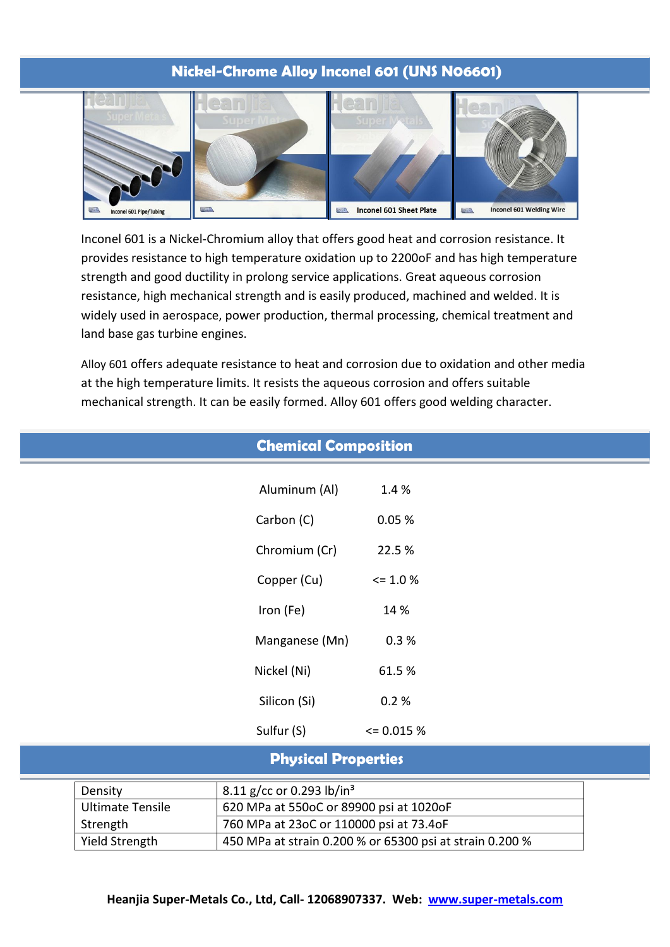# **Nickel-Chrome Alloy Inconel 601 (UNS N06601)**



Inconel 601 is a Nickel-Chromium alloy that offers good heat and corrosion resistance. It provides resistance to high temperature oxidation up to 2200oF and has high temperature strength and good ductility in prolong service applications. Great aqueous corrosion resistance, high mechanical strength and is easily produced, machined and welded. It is widely used in aerospace, power production, thermal processing, chemical treatment and land base gas turbine engines.

Alloy 601 offers adequate resistance to heat and corrosion due to oxidation and other media at the high temperature limits. It resists the aqueous corrosion and offers suitable mechanical strength. It can be easily formed. Alloy 601 offers good welding character.

|                            |                                                     | <b>Chemical Composition</b>             |                |  |
|----------------------------|-----------------------------------------------------|-----------------------------------------|----------------|--|
|                            |                                                     | Aluminum (Al)                           | 1.4 %          |  |
|                            |                                                     | Carbon (C)                              | 0.05%          |  |
|                            |                                                     | Chromium (Cr)                           | 22.5 %         |  |
|                            |                                                     | Copper (Cu)                             | $\leq$ 1.0 %   |  |
|                            |                                                     | Iron (Fe)                               | 14 %           |  |
|                            |                                                     | Manganese (Mn)                          | 0.3%           |  |
|                            |                                                     | Nickel (Ni)                             | 61.5%          |  |
|                            |                                                     | Silicon (Si)                            | 0.2%           |  |
|                            |                                                     | Sulfur (S)                              | $\leq 0.015\%$ |  |
| <b>Physical Properties</b> |                                                     |                                         |                |  |
|                            | 8.11 g/cc or 0.293 lb/in <sup>3</sup><br>Density    |                                         |                |  |
|                            | <b>Ultimate Tensile</b>                             | 620 MPa at 550oC or 89900 psi at 1020oF |                |  |
|                            | Strength<br>760 MPa at 23oC or 110000 psi at 73.4oF |                                         |                |  |

Yield Strength 450 MPa at strain 0.200 % or 65300 psi at strain 0.200 %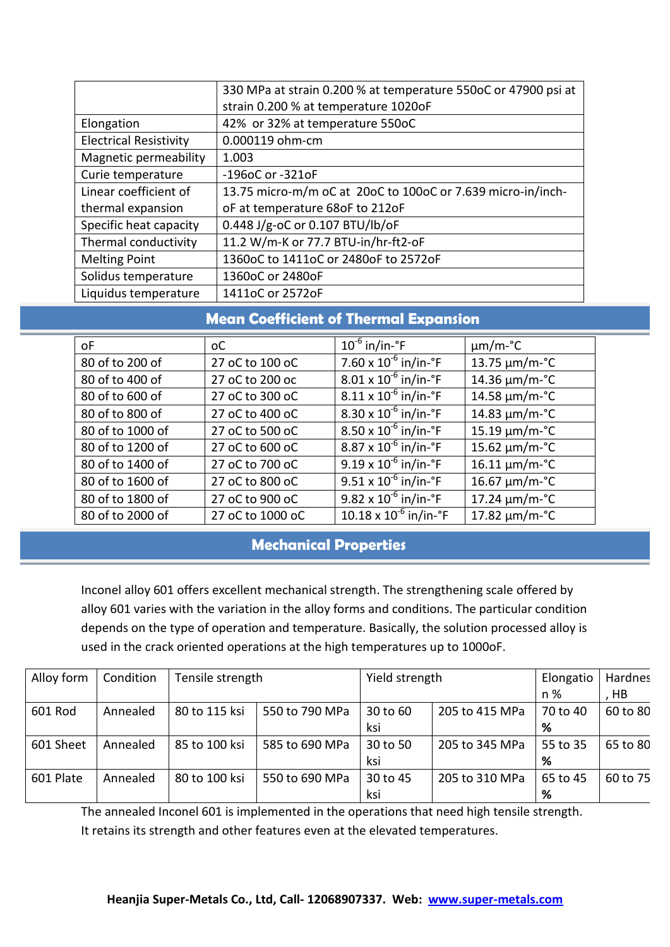|                               | 330 MPa at strain 0.200 % at temperature 550oC or 47900 psi at |  |  |  |
|-------------------------------|----------------------------------------------------------------|--|--|--|
|                               | strain 0.200 % at temperature 1020oF                           |  |  |  |
| Elongation                    | 42% or 32% at temperature 550oC                                |  |  |  |
| <b>Electrical Resistivity</b> | 0.000119 ohm-cm                                                |  |  |  |
| Magnetic permeability         | 1.003                                                          |  |  |  |
| Curie temperature             | -196oC or -321oF                                               |  |  |  |
| Linear coefficient of         | 13.75 micro-m/m oC at 20oC to 100oC or 7.639 micro-in/inch-    |  |  |  |
| thermal expansion             | oF at temperature 68oF to 212oF                                |  |  |  |
| Specific heat capacity        | 0.448 J/g-oC or 0.107 BTU/lb/oF                                |  |  |  |
| Thermal conductivity          | 11.2 W/m-K or 77.7 BTU-in/hr-ft2-oF                            |  |  |  |
| <b>Melting Point</b>          | 1360oC to 1411oC or 2480oF to 2572oF                           |  |  |  |
| Solidus temperature           | 1360oC or 2480oF                                               |  |  |  |
| Liquidus temperature          | 1411oC or 2572oF                                               |  |  |  |

# **Mean Coefficient of Thermal Expansion**

| οF               | оC               | $10^{-6}$ in/in- $\degree$ F             | $\mu$ m/m-°C       |
|------------------|------------------|------------------------------------------|--------------------|
| 80 of to 200 of  | 27 oC to 100 oC  | 7.60 x $10^{-6}$ in/in- $\degree$ F      | 13.75 $\mu$ m/m-°C |
| 80 of to 400 of  | 27 oC to 200 oc  | $8.01 \times 10^{-6}$ in/in-°F           | 14.36 um/m-°C      |
| 80 of to 600 of  | 27 oC to 300 oC  | $8.11 \times 10^{-6}$ in/in- $\degree$ F | 14.58 µm/m-°C      |
| 80 of to 800 of  | 27 oC to 400 oC  | $8.30 \times 10^{-6}$ in/in- $\degree$ F | 14.83 µm/m-°C      |
| 80 of to 1000 of | 27 oC to 500 oC  | $8.50 \times 10^{-6}$ in/in-°F           | 15.19 µm/m-°C      |
| 80 of to 1200 of | 27 oC to 600 oC  | $8.87 \times 10^{-6}$ in/in-°F           | 15.62 µm/m-°C      |
| 80 of to 1400 of | 27 oC to 700 oC  | $9.19 \times 10^{-6}$ in/in-°F           | 16.11 µm/m-°C      |
| 80 of to 1600 of | 27 oC to 800 oC  | $9.51 \times 10^{-6}$ in/in- $\degree$ F | 16.67 µm/m-°C      |
| 80 of to 1800 of | 27 oC to 900 oC  | $9.82 \times 10^{-6}$ in/in-°F           | 17.24 µm/m-°C      |
| 80 of to 2000 of | 27 oC to 1000 oC | $10.18 \times 10^{-6}$ in/in-°F          | 17.82 um/m-°C      |

# **Mechanical Properties**

Inconel alloy 601 offers excellent mechanical strength. The strengthening scale offered by alloy 601 varies with the variation in the alloy forms and conditions. The particular condition depends on the type of operation and temperature. Basically, the solution processed alloy is used in the crack oriented operations at the high temperatures up to 1000oF.

| Alloy form | Condition | Tensile strength |                | Yield strength |                | Elongatio | Hardnes  |
|------------|-----------|------------------|----------------|----------------|----------------|-----------|----------|
|            |           |                  |                |                |                | n %       | , HB     |
| 601 Rod    | Annealed  | 80 to 115 ksi    | 550 to 790 MPa | 30 to 60       | 205 to 415 MPa | 70 to 40  | 60 to 80 |
|            |           |                  |                | ksi            |                | %         |          |
| 601 Sheet  | Annealed  | 85 to 100 ksi    | 585 to 690 MPa | 30 to 50       | 205 to 345 MPa | 55 to 35  | 65 to 80 |
|            |           |                  |                | ksi            |                | %         |          |
| 601 Plate  | Annealed  | 80 to 100 ksi    | 550 to 690 MPa | 30 to 45       | 205 to 310 MPa | 65 to 45  | 60 to 75 |
|            |           |                  |                | ksi            |                | %         |          |

The annealed Inconel 601 is implemented in the operations that need high tensile strength. It retains its strength and other features even at the elevated temperatures.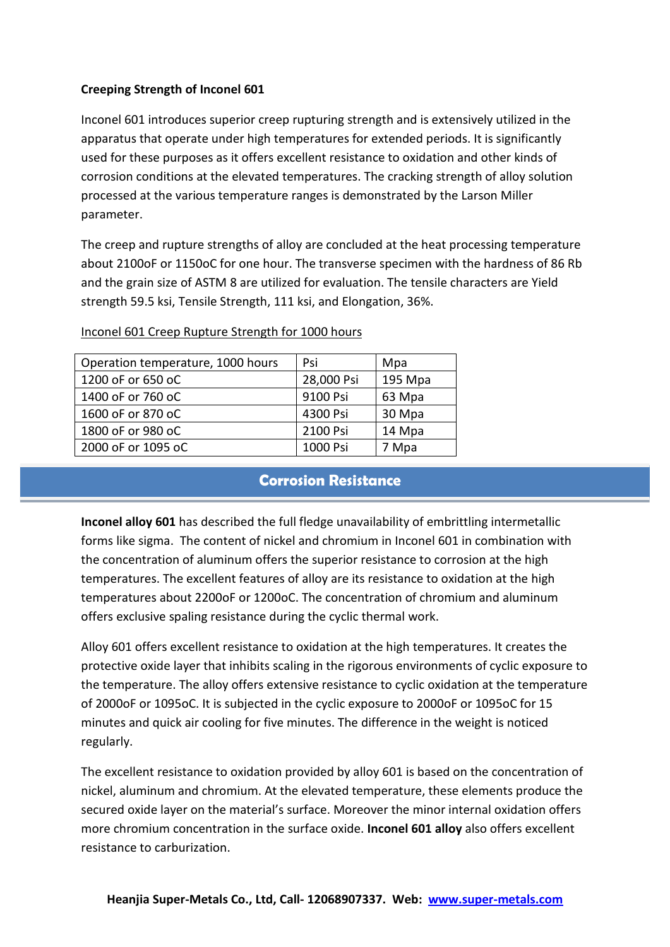### **Creeping Strength of Inconel 601**

Inconel 601 introduces superior creep rupturing strength and is extensively utilized in the apparatus that operate under high temperatures for extended periods. It is significantly used for these purposes as it offers excellent resistance to oxidation and other kinds of corrosion conditions at the elevated temperatures. The cracking strength of alloy solution processed at the various temperature ranges is demonstrated by the Larson Miller parameter.

The creep and rupture strengths of alloy are concluded at the heat processing temperature about 2100oF or 1150oC for one hour. The transverse specimen with the hardness of 86 Rb and the grain size of ASTM 8 are utilized for evaluation. The tensile characters are Yield strength 59.5 ksi, Tensile Strength, 111 ksi, and Elongation, 36%.

| Operation temperature, 1000 hours | Psi        | Mpa     |
|-----------------------------------|------------|---------|
| 1200 oF or 650 oC                 | 28,000 Psi | 195 Mpa |
| 1400 oF or 760 oC                 | 9100 Psi   | 63 Mpa  |
| 1600 oF or 870 oC                 | 4300 Psi   | 30 Mpa  |
| 1800 oF or 980 oC                 | 2100 Psi   | 14 Mpa  |
| 2000 oF or 1095 oC                | 1000 Psi   | 7 Mpa   |

### Inconel 601 Creep Rupture Strength for 1000 hours

## **Corrosion Resistance**

**Inconel alloy 601** has described the full fledge unavailability of embrittling intermetallic forms like sigma. The content of nickel and chromium in Inconel 601 in combination with the concentration of aluminum offers the superior resistance to corrosion at the high temperatures. The excellent features of alloy are its resistance to oxidation at the high temperatures about 2200oF or 1200oC. The concentration of chromium and aluminum offers exclusive spaling resistance during the cyclic thermal work.

Alloy 601 offers excellent resistance to oxidation at the high temperatures. It creates the protective oxide layer that inhibits scaling in the rigorous environments of cyclic exposure to the temperature. The alloy offers extensive resistance to cyclic oxidation at the temperature of 2000oF or 1095oC. It is subjected in the cyclic exposure to 2000oF or 1095oC for 15 minutes and quick air cooling for five minutes. The difference in the weight is noticed regularly.

The excellent resistance to oxidation provided by alloy 601 is based on the concentration of nickel, aluminum and chromium. At the elevated temperature, these elements produce the secured oxide layer on the material's surface. Moreover the minor internal oxidation offers more chromium concentration in the surface oxide. **Inconel 601 alloy** also offers excellent resistance to carburization.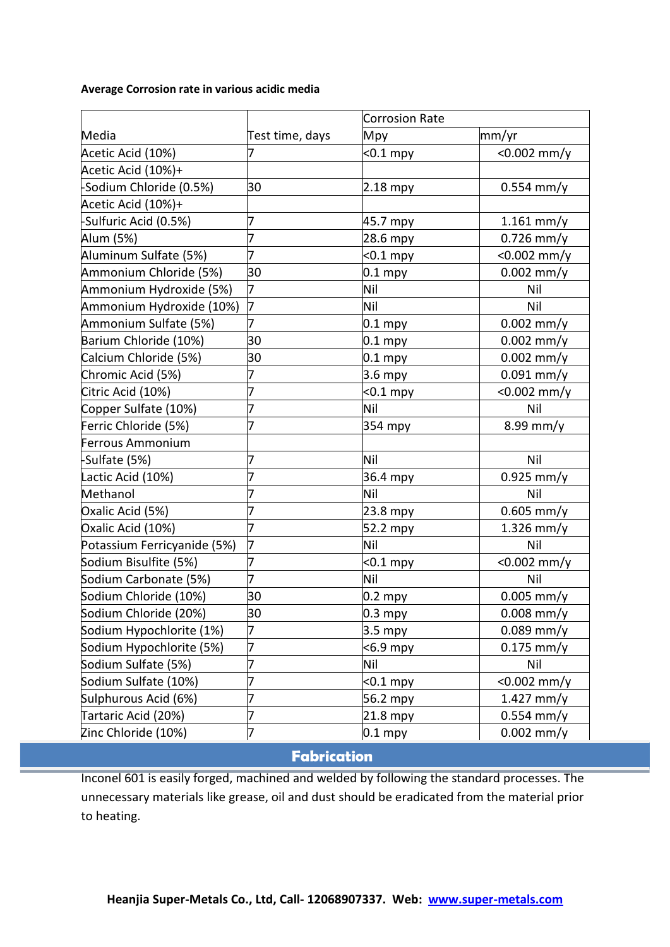#### **Average Corrosion rate in various acidic media**

|                             |                 | <b>Corrosion Rate</b> |                |
|-----------------------------|-----------------|-----------------------|----------------|
| Media                       | Test time, days | Mpy                   | mm/yr          |
| Acetic Acid (10%)           |                 | $< 0.1$ mpy           | $< 0.002$ mm/y |
| Acetic Acid (10%)+          |                 |                       |                |
| -Sodium Chloride (0.5%)     | 30              | $2.18$ mpy            | $0.554$ mm/y   |
| Acetic Acid (10%)+          |                 |                       |                |
| -Sulfuric Acid (0.5%)       | 7               | 45.7 mpy              | $1.161$ mm/y   |
| Alum (5%)                   | 7               | 28.6 mpy              | $0.726$ mm/y   |
| Aluminum Sulfate (5%)       | 7               | $0.1$ mpy             | $< 0.002$ mm/y |
| Ammonium Chloride (5%)      | 30              | $0.1$ mpy             | $0.002$ mm/y   |
| Ammonium Hydroxide (5%)     | 7               | Nil                   | Nil            |
| Ammonium Hydroxide (10%)    | 7               | Nil                   | Nil            |
| Ammonium Sulfate (5%)       | 7               | $0.1$ mpy             | $0.002$ mm/y   |
| Barium Chloride (10%)       | 30              | $0.1$ mpy             | $0.002$ mm/y   |
| Calcium Chloride (5%)       | 30              | $0.1$ mpy             | $0.002$ mm/y   |
| Chromic Acid (5%)           | 7               | 3.6 mpy               | $0.091$ mm/y   |
| Citric Acid (10%)           | 7               | $0.1$ mpy             | $< 0.002$ mm/y |
| Copper Sulfate (10%)        | 7               | Nil                   | Nil            |
| Ferric Chloride (5%)        | 7               | 354 mpy               | $8.99$ mm/y    |
| Ferrous Ammonium            |                 |                       |                |
| -Sulfate (5%)               | 7               | Nil                   | Nil            |
| Lactic Acid (10%)           | 7               | 36.4 mpy              | $0.925$ mm/y   |
| Methanol                    | 7               | Nil                   | Nil            |
| Oxalic Acid (5%)            | 7               | 23.8 mpy              | $0.605$ mm/y   |
| Oxalic Acid (10%)           | 7               | 52.2 mpy              | $1.326$ mm/y   |
| Potassium Ferricyanide (5%) | 7               | Nil                   | Nil            |
| Sodium Bisulfite (5%)       | 7               | $<$ 0.1 mpy           | $< 0.002$ mm/y |
| Sodium Carbonate (5%)       | 7               | Nil                   | Nil            |
| Sodium Chloride (10%)       | 30              | $0.2$ mpy             | $0.005$ mm/y   |
| Sodium Chloride (20%)       | 30              | 0.3 mpy               | $0.008$ mm/y   |
| Sodium Hypochlorite (1%)    | 7               | $3.5$ mpy             | $0.089$ mm/y   |
| Sodium Hypochlorite (5%)    | 7               | $6.9$ mpy             | $0.175$ mm/y   |
| Sodium Sulfate (5%)         | 7               | Nil                   | Nil            |
| Sodium Sulfate (10%)        | 7               | $< 0.1$ mpy           | $< 0.002$ mm/y |
| Sulphurous Acid (6%)        | 7               | 56.2 mpy              | $1.427$ mm/y   |
| Tartaric Acid (20%)         | 7               | 21.8 mpy              | $0.554$ mm/y   |
| Zinc Chloride (10%)         | 7               | $0.1$ mpy             | $0.002$ mm/y   |

**Fabrication**

Inconel 601 is easily forged, machined and welded by following the standard processes. The unnecessary materials like grease, oil and dust should be eradicated from the material prior to heating.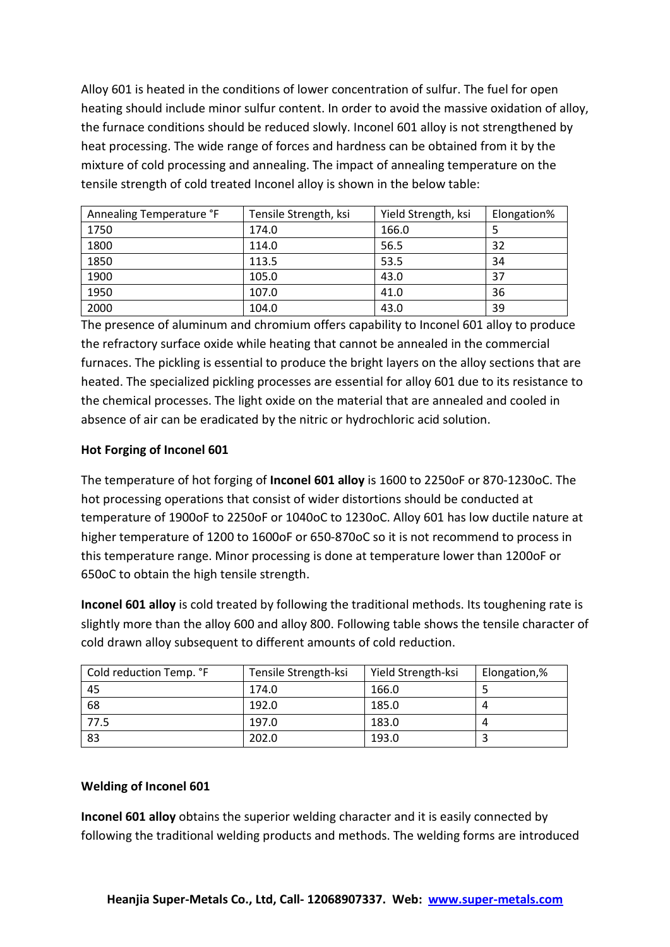Alloy 601 is heated in the conditions of lower concentration of sulfur. The fuel for open heating should include minor sulfur content. In order to avoid the massive oxidation of alloy, the furnace conditions should be reduced slowly. Inconel 601 alloy is not strengthened by heat processing. The wide range of forces and hardness can be obtained from it by the mixture of cold processing and annealing. The impact of annealing temperature on the tensile strength of cold treated Inconel alloy is shown in the below table:

| Annealing Temperature °F | Tensile Strength, ksi | Yield Strength, ksi | Elongation% |
|--------------------------|-----------------------|---------------------|-------------|
| 1750                     | 174.0                 | 166.0               |             |
| 1800                     | 114.0                 | 56.5                | 32          |
| 1850                     | 113.5                 | 53.5                | 34          |
| 1900                     | 105.0                 | 43.0                | 37          |
| 1950                     | 107.0                 | 41.0                | 36          |
| 2000                     | 104.0                 | 43.0                | 39          |

The presence of aluminum and chromium offers capability to Inconel 601 alloy to produce the refractory surface oxide while heating that cannot be annealed in the commercial furnaces. The pickling is essential to produce the bright layers on the alloy sections that are heated. The specialized pickling processes are essential for alloy 601 due to its resistance to the chemical processes. The light oxide on the material that are annealed and cooled in absence of air can be eradicated by the nitric or hydrochloric acid solution.

### **Hot Forging of Inconel 601**

The temperature of hot forging of **Inconel 601 alloy** is 1600 to 2250oF or 870-1230oC. The hot processing operations that consist of wider distortions should be conducted at temperature of 1900oF to 2250oF or 1040oC to 1230oC. Alloy 601 has low ductile nature at higher temperature of 1200 to 1600oF or 650-870oC so it is not recommend to process in this temperature range. Minor processing is done at temperature lower than 1200oF or 650oC to obtain the high tensile strength.

**Inconel 601 alloy** is cold treated by following the traditional methods. Its toughening rate is slightly more than the alloy 600 and alloy 800. Following table shows the tensile character of cold drawn alloy subsequent to different amounts of cold reduction.

| Cold reduction Temp. °F | Tensile Strength-ksi | Yield Strength-ksi | Elongation,% |
|-------------------------|----------------------|--------------------|--------------|
| 45                      | 174.0                | 166.0              |              |
| 68                      | 192.0                | 185.0              | 4            |
| 77.5                    | 197.0                | 183.0              |              |
| 83                      | 202.0                | 193.0              |              |

### **Welding of Inconel 601**

**Inconel 601 alloy** obtains the superior welding character and it is easily connected by following the traditional welding products and methods. The welding forms are introduced